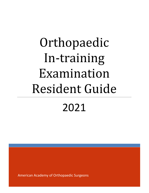# Orthopaedic In-training Examination Resident Guide

2021

American Academy of Orthopaedic Surgeons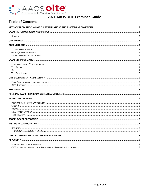

# **Table of Contents**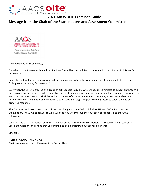

**Message from the Chair of the Examinations and Assessment Committee**



Your Source for Lifelong Orthopaedic Learning

Dear Residents and Colleagues,

On behalf of the Assessments and Examinations Committee, I would like to thank you for participating in this year's examination.

Being the first such examination among all the medical specialties, this year marks the 58th administration of the Orthopaedic In‐training Examination®.

Every year, the OITE® is created by a group of orthopaedic surgeons who are deeply committed to education through a rigorous peer‐review process. While many topics in orthopaedic surgery lack conclusive evidence, many of our practices are based on sound medical principles and a consensus of experts. Sometimes, there may appear several correct answers to a test item, but each question has been vetted through this peer‐review process to select the one best preferred response.

The Education and Assessments Committee is working with the ABOS to link the OITE and ABOS, Part 1 written Examination. The AAOS continues to work with the ABOS to improve the education of residents and the AAOS Fellowship.

With this and each subsequent administration, we strive to make the OITE® better. Thank you for being part of this year's examination, and I hope that you find this to be an enriching educational experience.

Sincerely,

Norman Otsuka, MD, FAAOS Chair, Assessments and Examinations Committee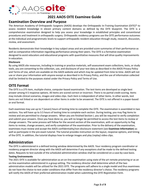

## **Examination Overview and Purpose**

The American Academy of Orthopaedic Surgeons (AAOS) develops the Orthopaedic In‐Training Examination (OITE)® to assess resident knowledge in eleven primary content domains as defined by the OITE blueprint. The OITE is a comprehensive examination designed to help you assess your knowledge in established principles and conventional procedures and treatment in orthopaedic surgery. Orthopaedic residency programs use the OITE performance outcomes at the individual and programmatic levels to support orthopaedic resident education through study, research, discussion, review, and assessment.

Residents demonstrate their knowledge in key subject areas and are provided score summaries of their performance as well as comparative information regarding performance among their peers. The OITE is a formative examination designed to assist educators and educational programs with quantitative measures that will drive quality improvements in education.

#### **Disclosure**

By using AAOS site resources, including in‐training or practice materials, self‐assessment exam collections, tests, or study tools, you are consenting to the collection, use, and disclosure of your test data as described in the AAOS Privacy Policy and Terms of Use, which are available on the AAOS website and which may be updated from time to time. AAOS will not use or share your information with anyone except as described in its Privacy Policy, and the use of information collected shall be limited to the purposes stated under the Privacy Policy and Terms of Use.

## **OITE Format**

The OITE is a 275 item, multiple‐choice, computer‐based examination. The test items are developed as single best answer among 4‐5 response options. All items are scored correct or incorrect. There is no partial credit scoring. Items may include clinical scenarios, images and video clips. Each item is independent of other items. In other words, test items are not linked or are dependent on other items in order to be answered. The OITE is not offered in a paper‐based or oral format.

Each examinee may use up to 7 (seven) hours of testing time to complete the OITE. The examination is assembled in two sections. You will have up to 3.5 hours of testing time to complete each section. During testing, you may flag items to review and are permitted to change answers. When you are finished Section I, you will be required to verify completion and submit your answers. Once you have done so, you will no longer be permitted to access the test items to review or change answers. The same process will follow for the second section of the examination, with an opportunity to flag items to review, change answers, and verify completion of the examination. Prior to the delivery of the examination, examinees must review and accept the AAOS confidentiality/non‐disclosure statement (see **Examinee Information**) as well as participate in the pre-exam tutorial. The tutorial provides instruction on the layout, response options, and timing of the OITE. In addition, the tutorial displays how to enlarge images and play (replay) video clips.

## **Administration**

The OITE is administered in a defined testing window determined by the AAOS. Your residency program coordinator or residency program director along with the AAOS will determine if any exceptions shall be made to the defined testing dates. Requests to test outside of the scheduled administration window shall be considered on a case-by-case basis.

#### **Testing Environments**

The 2021 OITE is available for administration as an on-line examination using state of the art remote proctoring or as an on‐line examination administered in a group setting. The residency director shall determine which of the two administration models will be utilized for the 2021 OITE. The programs will adhere to a single model and thus examinees do not have the choice to test under conditions that differ from the residency director's choice. The residency programs will notify the AAOS of their preferred administration model when submitting the *OITE Registration Form.*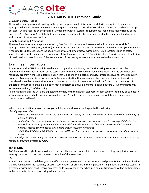

#### **Group (in‐person) Testing**

The residency programs participating in the group (in‐person) administration model will be required to secure an appropriate location, free from distraction and spacious enough to host the OITE administration. All hardware (laptops, desktops) will be secured by the program. Compliance with all systems requirements shall be the responsibility of the program. (See Appendix A for details) Examinees will be notified by the program coordinator regarding the day, time, and location of the administration.

#### **Remote Testing and Proctoring**

The examinee must secure a private location, free from distractions and external stimuli. You are responsible for appropriate hardware (laptop, desktop) as well as all systems requirements for the exam administrations. (See Appendix A for details). Suitable locations include private office or home office/environment. Public locations such as coffee shops, libraries, facility dining areas are unacceptable locations for the OITE administration. You will be subject exclusion of participation or termination of the examination, if the testing environment is deemed to be unsuitable.

### **Examinee Information**

To ensure that the OITE is administered under comparable conditions, the AAOS is taking steps to address the maintenance and standardization of the testing environments. OITE results may be withheld from the examinee and residency program if there is a determination that violations of expected conduct, confidentiality, and/or test security occurred. Any irregularities associated with the administration that were under the control of the examinee will be considered as evidence in considerations to hold results or invalidate scores. Individuals found to be in violation of expected conduct during the examination may be subject to exclusion of participating in future OITE administrations.

#### **Examinee Conduct/Confidentiality**

All individuals taking the OITE are expected to comply with the highest standards of test security. You may be subject to score invalidation or a hold on your examination score/results if upon review, you are in violation of the expected conduct described herein.

When the examination session begins, you will be required to read and agree to the following: *I hereby represent that:*

- No one else will take the OITE in my name or on my behalf, nor will I take the OITE in the name of or on behalf of *any other person;*
- I will not receive or provide assistance during the exam, nor will I access or attempt to access prohibited aids or *materials. Examples of prohibited aids or materials include, but are not limited to electronic devices, smart watches, mobile/smart phones, calculators, books, journals, notes; and*
- I will not reproduce, in whole or in part, any OITE questions or answers, nor will I receive reproduced questions or *answers.*

I acknowledge and agree that if AAOS suspects conduct inconsistent with these representations, I may be reported to my *residency program director by AAOS.* 

#### **Test Security**

AAOS reserves the right to withhold scores or cancel test results when if, in its judgment, a testing irregularity violating security measures occurs that is the responsibility of the examinee.

#### **IDs**

You will be expected to validate your identification with government or institution‐issued photo ID. Person identification shall be validated by the residency director, coordinator, or proctors in the in-person testing model. Examinees testing in a remote environment shall receive an access code in advance of the scheduled administration and will be authenticated in the remote testing and proctoring administration.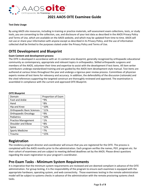

#### **Test Data Usage**

By using AAOS site resources, including in‐training or practice materials, self‐assessment exam collections, tests, or study tools, you are consenting to the collection, use, and disclosure of your test data as described in the AAOS Privacy Policy and Terms of Use, which are available on the AAOS website, and which may be updated from time to time. AAOS will not use or share your information with anyone except as described in its Privacy Policy, and the use of information collected shall be limited to the purposes stated under the Privacy Policy and Terms of Use.

## **OITE Development and Blueprint**

#### **Exam Content and development process**

The OITE is developed in accordance with an 11‐content area blueprint, generally recognized by orthopaedic educational community as contemporary, appropriate and relevant topics in orthopaedics. Skilled orthopaedic surgeons and members of the AAOS, volunteer their time and expertise to assist with the development if test items. All item writer contributors undergo standardized training and are guided by the AAOS item development style manual. Test items are authored at various times throughout the year and undergo a rigorous peer review process. Committees of physician experts review all test items for relevancy and accuracy. In addition, the defensibility of the discussion (rationale) and the cited references supporting the targeted construct are thoroughly reviewed and approved. The examination is assembled in compliance with the current and approved OITE Blueprint.

| <b>OITE Blueprint</b> |  |
|-----------------------|--|
|-----------------------|--|

| Domain                            | Proportion of Exam |
|-----------------------------------|--------------------|
| <b>Foot and Ankle</b>             | ~9%                |
| Hand                              | $~8\%$             |
| Hip and Knee                      | $^{\sim}10\%$      |
| <b>Orthopaedic Basic Sciences</b> | $^{\sim}11\%$      |
| <b>Orthopaedic Oncology</b>       | $~9\%$             |
| Pediatrics                        | $^{\sim}10\%$      |
| <b>Practice Management</b>        | $~1\%$             |
| Shoulder and Elbow                | ~8%                |
| Spine                             | $^{\sim}12\%$      |
| <b>Sports Medicine</b>            | $~7\%$             |
| <b>Trauma</b>                     | $^{\sim}15\%$      |

## **Registration**

The residency program director and coordinator will ensure that you are registered for the OITE. The process is completed with the AAOS months prior to the administration. Each program verifies the names, PGY, program etc. for their cohort of examinees and are subject to meeting defined deadlines set by the AAOS. Please direct questions regarding the exam registration to your program's coordinator.

## **Pre‐Exam Tasks ‐ Minimum System Requirements**

It is imperative that the minimum system requirements are reviewed and are deemed compliant in advance of the OITE administration. For group testing, it is the responsibility of the program to ensure each examinee is equipped with the appropriate hardware, operating system, and web connectivity. Those examinees testing in the remote administration model will be subject to systems checks in advance of the administration with the remote proctoring systems check tasks.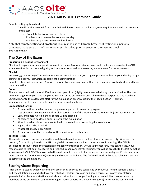

Remote testing system check:

- 1. You will receive an email from the AAOS with instructions to conduct a system requirement check and access a sample test
	- a. Complete hardware/systems check
	- b. Preview how to access the exam on test day
	- c. Preview sample test item (question) formats

Note that **remote testing and proctoring** requires the use of **Chrome** browser. If testing on a personal computer, make sure that a Chrome browser is installed prior to executing the systems check. **See Appendix A** 

## **The Day of the Exam**

#### **Preparation & Testing Environment**

Check and prepare your testing environment in advance. Ensure a private, quiet, and comfortable space for the OITE administration. Make sure the lighting and temperature as well as the seating are adequate for the examination.

#### **Check‐in**

In-person, group testing – Your residency director, coordinator, and/or assigned proctors will verify your identity, assign seating, and convey instructions regarding the administration.

Remote testing and proctoring – You will receive instructions via e‐mail with details regarding how to check in and begin the examination

#### **Breaks**

There is one scheduled, optional 30‐minute break permitted (highly recommended) during the examination. The break timer will begin once you have completed Section I of the examination and submitted your responses. You may begin Section II prior to the automated start for the examination timer by clicking the "Begin Section II" button. You may also opt to forego the scheduled break and continue testing.

#### **Examination Start‐up**

- 1. Browser will be in full‐screen mode, preventing access to any other programs
- 2. Loss of network connectivity will result in termination of the examination automatically (see Technical Issues)
- 3. Copy and paste function and clipboard will be disabled
- 4. All screens must be closed prior to starting the examination
- 5. All additional monitors may need to be disconnected prior to starting the examination
- 6. Right click may be disabled
- 7. Print functionality is prohibited
- 8. Browser cache will be cleared once the examination is submitted

#### **Technical Issues**

The most common issue encountered in a web-based examination is the loss of internet connectivity. Whether it is resulting from a disruption with the ISP or a glitch in wireless capabilities, the results are frustrating. The OITE is designed to "recover" from the occasional connectivity interruption. Should you temporarily lose connectivity, your responses up to that point are stored and retained. When connectivity resumes, you will be brought to the last item that you answered. Click NEXT to move on to the next item. In the event of an extended internet outage (>60 minutes), you must contact the AAOS at exams@aaos.org and report the incident. The AAOS will work with you to schedule a session to complete the examination.

## **Scoring/Score Reporting**

After the OITE testing window is complete, pre‐scoring analyses are conducted by the AAOS. Item (question) analysis and key validation are conducted to ensure that all test items are valid and keyed correctly. On occasion, statistics generated after the administration may indicate that an item is not performing as expected. Items are reviewed by members of the examination committee subject matter experts (orthopaedic surgeons) to review the content and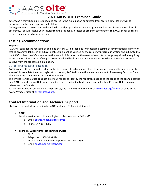

determine if they should be retained and scored in the examination or omitted from scoring. Final scoring will be performed on the final, approved set of items.

AAOS generates score reports on the individual and program levels. Each program handles the dissemination of results differently. You will receive your results from the residency director or program coordinator. The AAOS sends all results to the residency director or designate**.**

## **Testing Accommodations**

#### **Requests**

AAOS will consider the requests of qualified persons with disabilities for reasonable testing accommodations. History of testing accommodations in an educational setting must be verified by the residency program in writing and submitted to the AAOS no less than 30‐days prior to the test administration. In the event of an acute or temporary situation requiring an accommodation, a letter of support from a qualified healthcare provider must be provided to the AAOS no less than 30‐days from the scheduled examination.

#### GDPR Personal Data Protection

AAOS works with specialized vendors in the development and administration of our online exam platforms. In order to successfully complete the exam registration process, AAOS will share the minimum amount of necessary Personal Data about each registrant: name and AAOS ID number.

This limited Personal Data does not allow our vendor to identify the registrant outside of the scope of the exam. Because only AAOS holds Personal Data which could be used to individually identify registrants, their Personal Data remains private and confidential.

For more information on AAOS privacy practices, see the AAOS Privacy Policy at www.aaos.org/privacy or contact the AAOS Privacy Officer at privacy@aaos.org.

## **Contact Information and Technical Support**

Below is the contact information for AAOS staff and ITS Technical Support.

**AAOS** 

For all questions on policy and logistics, please contact AAOS staff.

- o Email: exams@aaos.org (preferred)
- o Phone: 847‐384‐4085
- **Technical Support Internet Testing Services**
	- o **24/7**
	- o Telephone: 1‐800‐514‐8494
	- o International Telephone Support: +1‐443‐573‐8399
	- o Email: aaossupport@testsys.com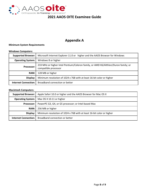

# **Appendix A**

#### **Minimum System Requirements**

#### **Windows Computers:**

| <b>Supported Browser:</b>   | Microsoft Internet Explorer 11.0 or higher and the AAOS Browser for Windows                                |
|-----------------------------|------------------------------------------------------------------------------------------------------------|
| <b>Operating System:</b>    | Windows 8 or higher                                                                                        |
| Processor:                  | 233 MHz or higher Intel Pentium/Celeron family, or AMD K6/Althlon/Duron family; or<br>compatible processor |
| RAM: I                      | 128 MB or higher                                                                                           |
| Display:                    | Minimum resolution of 1024 x 768 with at least 16-bit color or higher                                      |
| <b>Internet Connection:</b> | Broadband connection or better                                                                             |

#### **Macintosh Computers:**

| <b>Supported Browser:</b>   | Apple Safari 10.0 or higher and the AAOS Browser for Mac OS X         |
|-----------------------------|-----------------------------------------------------------------------|
| <b>Operating System:</b>    | Mac OS X 10.11 or higher                                              |
| Processor: I                | PowerPC G3, G4, or G5 processor; or Intel-based Mac                   |
| RAM: I                      | 256 MB or higher                                                      |
| Display:                    | Minimum resolution of 1024 x 768 with at least 16-bit color or higher |
| <b>Internet Connection:</b> | Broadband connection or better                                        |